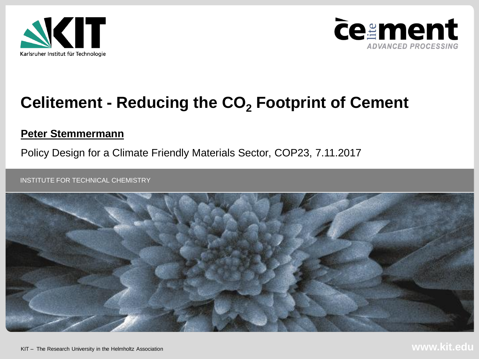



### **Celitement - Reducing the CO<sup>2</sup> Footprint of Cement**

#### **Peter Stemmermann**

Policy Design for a Climate Friendly Materials Sector, COP23, 7.11.2017

INSTITUTE FOR TECHNICAL CHEMISTRY

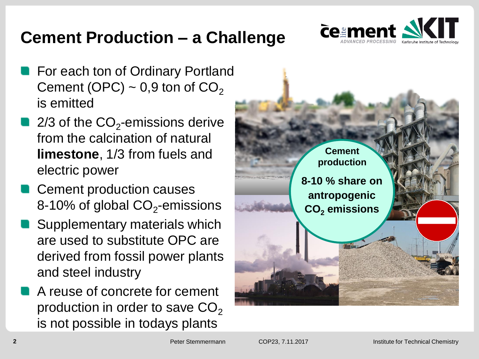## **Cement Production – a Challenge**



- For each ton of Ordinary Portland Cement (OPC)  $\sim$  0,9 ton of CO<sub>2</sub> is emitted
- 2/3 of the  $\mathsf{CO}_2$ -emissions derive from the calcination of natural **limestone**, 1/3 from fuels and electric power
- Cement production causes 8-10% of global CO $_2$ -emissions
- Supplementary materials which are used to substitute OPC are derived from fossil power plants and steel industry
- A reuse of concrete for cement production in order to save  $CO<sub>2</sub>$ is not possible in todays plants

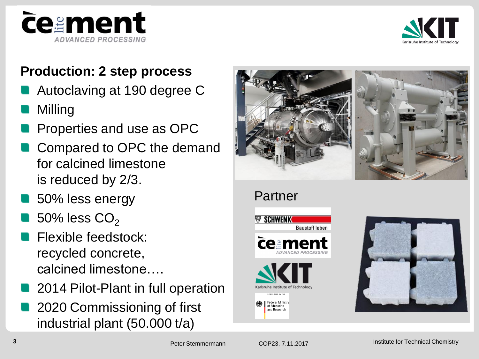



#### **Production: 2 step process**

- Autoclaving at 190 degree C
- Milling
- Properties and use as OPC
- Compared to OPC the demand for calcined limestone is reduced by 2/3.
- 50% less energy
- 50% less  $CO<sub>2</sub>$
- Flexible feedstock: recycled concrete, calcined limestone….
- 2014 Pilot-Plant in full operation
- 2020 Commissioning of first industrial plant (50.000 t/a)





Partner





Peter Stemmermann

of Education and Research